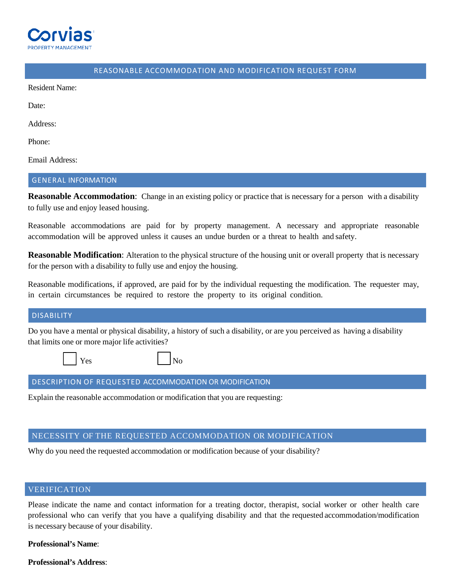

# REASONABLE ACCOMMODATION AND MODIFICATION REQUEST FORM

Resident Name:

Date:

Address:

Phone:

Email Address:

#### GENERAL INFORMATION

**Reasonable Accommodation**: Change in an existing policy or practice that is necessary for a person with a disability to fully use and enjoy leased housing.

Reasonable accommodations are paid for by property management. A necessary and appropriate reasonable accommodation will be approved unless it causes an undue burden or a threat to health and safety.

**Reasonable Modification**: Alteration to the physical structure of the housing unit or overall property that is necessary for the person with a disability to fully use and enjoy the housing.

Reasonable modifications, if approved, are paid for by the individual requesting the modification. The requester may, in certain circumstances be required to restore the property to its original condition.

#### DISABILITY

Do you have a mental or physical disability, a history of such a disability, or are you perceived as having a disability that limits one or more major life activities?

☐ Yes ☐ No

#### DESCRIPTION OF REQUESTED ACCOMMODATION OR MODIFICATION

Explain the reasonable accommodation or modification that you are requesting:

## NECESSITY OF THE REQUESTED ACCOMMODATION OR MODIFICATION

Why do you need the requested accommodation or modification because of your disability?

## VERIFICATION

Please indicate the name and contact information for a treating doctor, therapist, social worker or other health care professional who can verify that you have a qualifying disability and that the requested accommodation/modification is necessary because of your disability.

**Professional's Name**:

**Professional's Address**: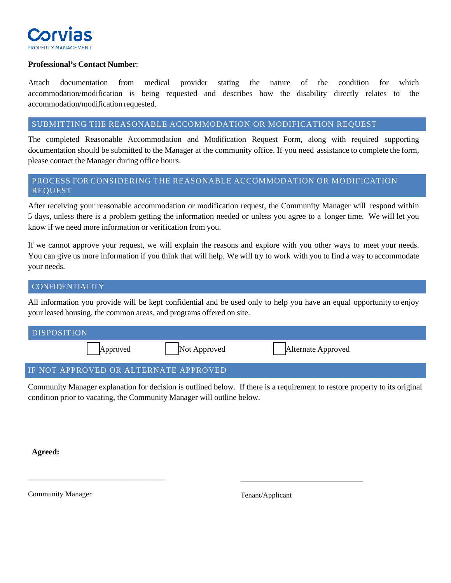

## **Professional's Contact Number**:

Attach documentation from medical provider stating the nature of the condition for which accommodation/modification is being requested and describes how the disability directly relates to the accommodation/modification requested.

### SUBMITTING THE REASONABLE ACCOMMODATION OR MODIFICATION REQUEST

The completed Reasonable Accommodation and Modification Request Form, along with required supporting documentation should be submitted to the Manager at the community office. If you need assistance to complete the form, please contact the Manager during office hours.

# PROCESS FOR CONSIDERING THE REASONABLE ACCOMMODATION OR MODIFICATION REQUEST

After receiving your reasonable accommodation or modification request, the Community Manager will respond within 5 days, unless there is a problem getting the information needed or unless you agree to a longer time. We will let you know if we need more information or verification from you.

If we cannot approve your request, we will explain the reasons and explore with you other ways to meet your needs. You can give us more information if you think that will help. We will try to work with you to find a way to accommodate your needs.

# **CONFIDENTIALITY**

All information you provide will be kept confidential and be used only to help you have an equal opportunity to enjoy your leased housing, the common areas, and programs offered on site.

| <b>DISPOSITION</b>                    |                    |
|---------------------------------------|--------------------|
| Not Approved<br>Approved              | Alternate Approved |
| IF NOT APPROVED OR ALTERNATE APPROVED |                    |

Community Manager explanation for decision is outlined below. If there is a requirement to restore property to its original condition prior to vacating, the Community Manager will outline below.

**Agreed:**

Community Manager

\_\_\_\_\_\_\_\_\_\_\_\_\_\_\_\_\_\_\_\_\_\_\_\_\_\_\_\_\_\_\_\_\_\_\_\_\_

Tenant/Applicant

\_\_\_\_\_\_\_\_\_\_\_\_\_\_\_\_\_\_\_\_\_\_\_\_\_\_\_\_\_\_\_\_\_